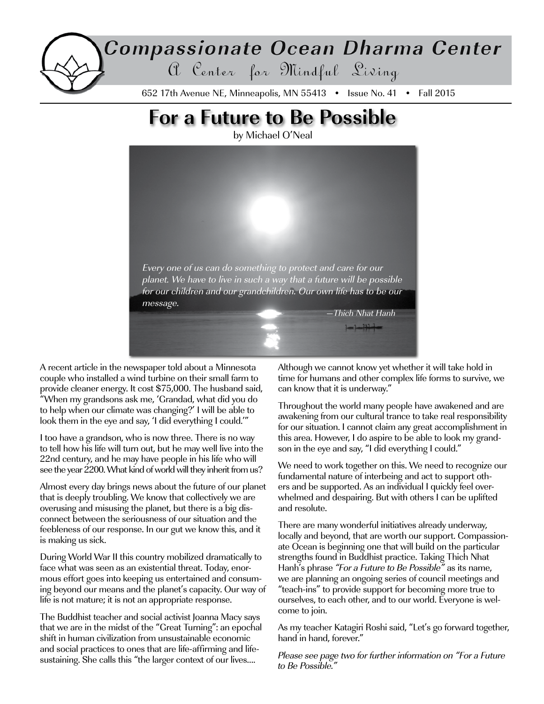# Compassionate Ocean Dharma Center a Center for Mindful Living 652 17th Avenue NE, Minneapolis, MN 55413 • Issue No. 41 • Fall 2015

# **For a Future to Be Possible**

by Michael O'Neal



A recent article in the newspaper told about a Minnesota couple who installed a wind turbine on their small farm to provide cleaner energy. It cost \$75,000. The husband said, "When my grandsons ask me, 'Grandad, what did you do to help when our climate was changing?' I will be able to look them in the eye and say, 'I did everything I could.'"

I too have a grandson, who is now three. There is no way to tell how his life will turn out, but he may well live into the 22nd century, and he may have people in his life who will see the year 2200. What kind of world will they inherit from us?

Almost every day brings news about the future of our planet that is deeply troubling. We know that collectively we are overusing and misusing the planet, but there is a big disconnect between the seriousness of our situation and the feebleness of our response. In our gut we know this, and it is making us sick.

During World War II this country mobilized dramatically to face what was seen as an existential threat. Today, enormous effort goes into keeping us entertained and consuming beyond our means and the planet's capacity. Our way of life is not mature; it is not an appropriate response.

The Buddhist teacher and social activist Joanna Macy says that we are in the midst of the "Great Turning": an epochal shift in human civilization from unsustainable economic and social practices to ones that are life-affirming and lifesustaining. She calls this "the larger context of our lives….

Although we cannot know yet whether it will take hold in time for humans and other complex life forms to survive, we can know that it is underway."

Throughout the world many people have awakened and are awakening from our cultural trance to take real responsibility for our situation. I cannot claim any great accomplishment in this area. However, I do aspire to be able to look my grandson in the eye and say, "I did everything I could."

We need to work together on this. We need to recognize our fundamental nature of interbeing and act to support others and be supported. As an individual I quickly feel overwhelmed and despairing. But with others I can be uplifted and resolute.

There are many wonderful initiatives already underway, locally and beyond, that are worth our support. Compassionate Ocean is beginning one that will build on the particular strengths found in Buddhist practice. Taking Thich Nhat Hanh's phrase "For a Future to Be Possible" as its name, we are planning an ongoing series of council meetings and "teach-ins" to provide support for becoming more true to ourselves, to each other, and to our world. Everyone is welcome to join.

As my teacher Katagiri Roshi said, "Let's go forward together, hand in hand, forever."

Please see page two for further information on "For a Future to Be Possible."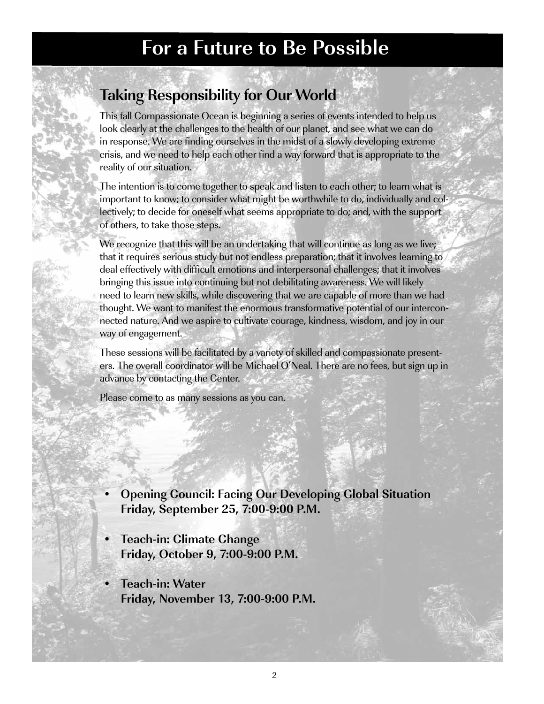# **For a Future to Be Possible**

## **Taking Responsibility for Our World**

This fall Compassionate Ocean is beginning a series of events intended to help us look clearly at the challenges to the health of our planet, and see what we can do in response. We are finding ourselves in the midst of a slowly developing extreme crisis, and we need to help each other find a way forward that is appropriate to the reality of our situation.

The intention is to come together to speak and listen to each other; to learn what is important to know; to consider what might be worthwhile to do, individually and collectively; to decide for oneself what seems appropriate to do; and, with the support of others, to take those steps.

We recognize that this will be an undertaking that will continue as long as we live; that it requires serious study but not endless preparation; that it involves learning to deal effectively with difficult emotions and interpersonal challenges; that it involves bringing this issue into continuing but not debilitating awareness. We will likely need to learn new skills, while discovering that we are capable of more than we had thought. We want to manifest the enormous transformative potential of our interconnected nature. And we aspire to cultivate courage, kindness, wisdom, and joy in our way of engagement.

These sessions will be facilitated by a variety of skilled and compassionate presenters. The overall coordinator will be Michael O'Neal. There are no fees, but sign up in advance by contacting the Center.

Please come to as many sessions as you can.

- **• Opening Council: Facing Our Developing Global Situation Friday, September 25, 7:00-9:00 P.M.**
- **Feach-in: Climate Change Friday, October 9, 7:00-9:00 P.M.**
- **• Teach-in: Water Friday, November 13, 7:00-9:00 P.M.**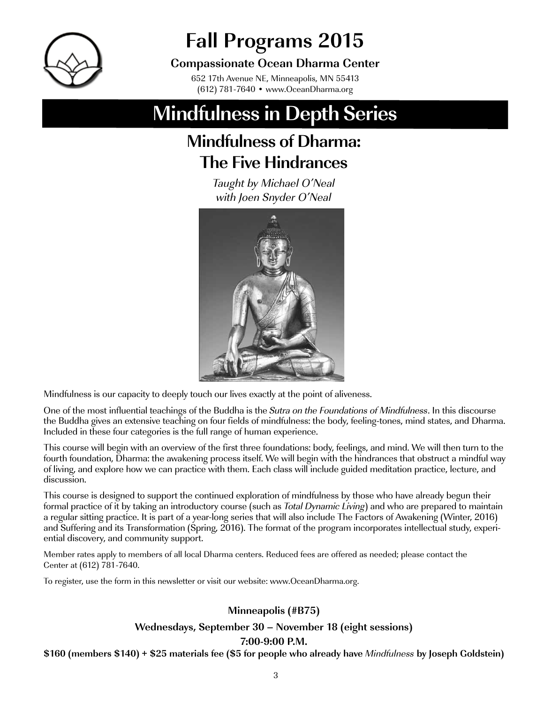

# **Fall Programs 2015**

## **Compassionate Ocean Dharma Center**

652 17th Avenue NE, Minneapolis, MN 55413 (612) 781-7640 • www.OceanDharma.org

# **Mindfulness in Depth Series**

# **Mindfulness of Dharma: The Five Hindrances**

Taught by Michael O'Neal with Joen Snyder O'Neal



Mindfulness is our capacity to deeply touch our lives exactly at the point of aliveness.

One of the most influential teachings of the Buddha is the Sutra on the Foundations of Mindfulness. In this discourse the Buddha gives an extensive teaching on four fields of mindfulness: the body, feeling-tones, mind states, and Dharma. Included in these four categories is the full range of human experience.

This course will begin with an overview of the first three foundations: body, feelings, and mind. We will then turn to the fourth foundation, Dharma: the awakening process itself. We will begin with the hindrances that obstruct a mindful way of living, and explore how we can practice with them. Each class will include guided meditation practice, lecture, and discussion.

This course is designed to support the continued exploration of mindfulness by those who have already begun their formal practice of it by taking an introductory course (such as Total Dynamic Living) and who are prepared to maintain a regular sitting practice. It is part of a year-long series that will also include The Factors of Awakening (Winter, 2016) and Suffering and its Transformation (Spring, 2016). The format of the program incorporates intellectual study, experiential discovery, and community support.

Member rates apply to members of all local Dharma centers. Reduced fees are offered as needed; please contact the Center at (612) 781-7640.

To register, use the form in this newsletter or visit our website: www.OceanDharma.org.

### **Minneapolis (#B75)**

#### **Wednesdays, September 30 – November 18 (eight sessions)**

#### **7:00-9:00 P.M.**

**\$160 (members \$140) + \$25 materials fee (\$5 for people who already have** Mindfulness **by Joseph Goldstein)**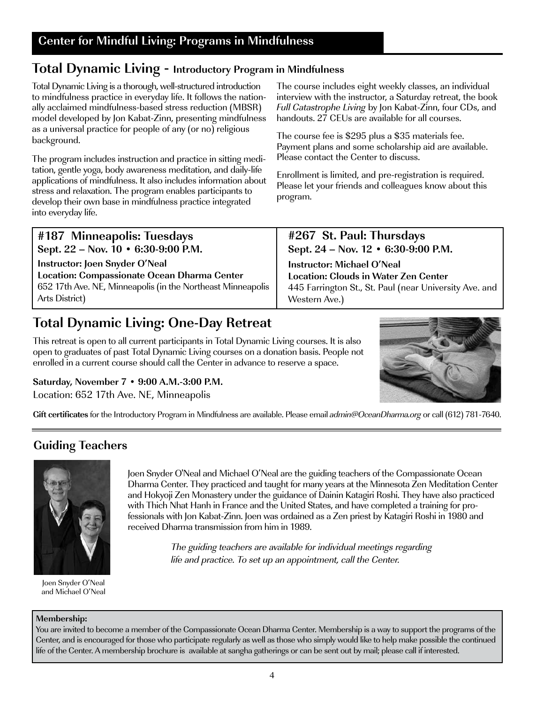## **Total Dynamic Living - Introductory Program in Mindfulness**

Total Dynamic Living is a thorough, well-structured introduction to mindfulness practice in everyday life. It follows the nationally acclaimed mindfulness-based stress reduction (MBSR) model developed by Jon Kabat-Zinn, presenting mindfulness as a universal practice for people of any (or no) religious background.

The program includes instruction and practice in sitting meditation, gentle yoga, body awareness meditation, and daily-life applications of mindfulness. It also includes information about stress and relaxation. The program enables participants to develop their own base in mindfulness practice integrated into everyday life.

**#187 Minneapolis: Tuesdays Sept. 22 – Nov. 10 • 6:30-9:00 P.M. Instructor: Joen Snyder O'Neal Location: Compassionate Ocean Dharma Center** 652 17th Ave. NE, Minneapolis (in the Northeast Minneapolis Arts District)

## **Total Dynamic Living: One-Day Retreat**

This retreat is open to all current participants in Total Dynamic Living courses. It is also open to graduates of past Total Dynamic Living courses on a donation basis. People not enrolled in a current course should call the Center in advance to reserve a space.

### **Saturday, November 7 • 9:00 A.M.-3:00 P.M.**

Location: 652 17th Ave. NE, Minneapolis

**Gift certificates** for the Introductory Program in Mindfulness are available. Please email admin@OceanDharma.org or call (612) 781-7640.

## **Guiding Teachers**



Joen Snyder O'Neal and Michael O'Neal

Joen Snyder O'Neal and Michael O'Neal are the guiding teachers of the Compassionate Ocean Dharma Center. They practiced and taught for many years at the Minnesota Zen Meditation Center and Hokyoji Zen Monastery under the guidance of Dainin Katagiri Roshi. They have also practiced with Thich Nhat Hanh in France and the United States, and have completed a training for professionals with Jon Kabat-Zinn. Joen was ordained as a Zen priest by Katagiri Roshi in 1980 and received Dharma transmission from him in 1989.

> The guiding teachers are available for individual meetings regarding life and practice. To set up an appointment, call the Center.

#### **Membership:**

You are invited to become a member of the Compassionate Ocean Dharma Center. Membership is a way to support the programs of the Center, and is encouraged for those who participate regularly as well as those who simply would like to help make possible the continued life of the Center. A membership brochure is available at sangha gatherings or can be sent out by mail; please call if interested.

The course includes eight weekly classes, an individual interview with the instructor, a Saturday retreat, the book Full Catastrophe Living by Jon Kabat-Zinn, four CDs, and handouts. 27 CEUs are available for all courses.

The course fee is \$295 plus a \$35 materials fee. Payment plans and some scholarship aid are available. Please contact the Center to discuss.

Enrollment is limited, and pre-registration is required. Please let your friends and colleagues know about this program.

**#267 St. Paul: Thursdays Sept. 24 – Nov. 12 • 6:30-9:00 P.M.**

**Instructor: Michael O'Neal Location: Clouds in Water Zen Center** 445 Farrington St., St. Paul (near University Ave. and Western Ave.)

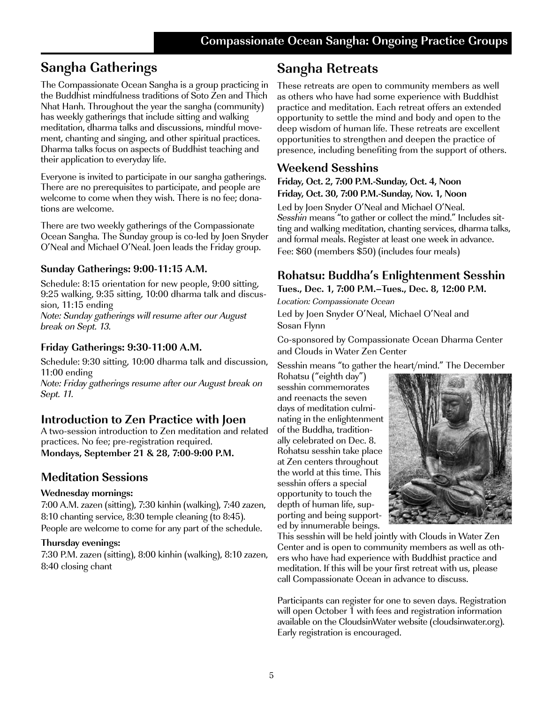## **Sangha Gatherings**

The Compassionate Ocean Sangha is a group practicing in the Buddhist mindfulness traditions of Soto Zen and Thich Nhat Hanh. Throughout the year the sangha (community) has weekly gatherings that include sitting and walking meditation, dharma talks and discussions, mindful movement, chanting and singing, and other spiritual practices. Dharma talks focus on aspects of Buddhist teaching and their application to everyday life.

Everyone is invited to participate in our sangha gatherings. There are no prerequisites to participate, and people are welcome to come when they wish. There is no fee; donations are welcome.

There are two weekly gatherings of the Compassionate Ocean Sangha. The Sunday group is co-led by Joen Snyder O'Neal and Michael O'Neal. Joen leads the Friday group.

### **Sunday Gatherings: 9:00-11:15 A.M.**

Schedule: 8:15 orientation for new people, 9:00 sitting, 9:25 walking, 9:35 sitting, 10:00 dharma talk and discussion, 11:15 ending Note: Sunday gatherings will resume after our August break on Sept. 13.

#### **Friday Gatherings: 9:30-11:00 A.M.**

Schedule: 9:30 sitting, 10:00 dharma talk and discussion, 11:00 ending Note: Friday gatherings resume after our August break on Sept. 11.

### **Introduction to Zen Practice with Joen**

A two-session introduction to Zen meditation and related practices. No fee; pre-registration required. **Mondays, September 21 & 28, 7:00-9:00 P.M.**

### **Meditation Sessions**

#### **Wednesday mornings:**

7:00 A.M. zazen (sitting), 7:30 kinhin (walking), 7:40 zazen, 8:10 chanting service, 8:30 temple cleaning (to 8:45). People are welcome to come for any part of the schedule.

#### **Thursday evenings:**

7:30 P.M. zazen (sitting), 8:00 kinhin (walking), 8:10 zazen, 8:40 closing chant

## **Sangha Retreats**

These retreats are open to community members as well as others who have had some experience with Buddhist practice and meditation. Each retreat offers an extended opportunity to settle the mind and body and open to the deep wisdom of human life. These retreats are excellent opportunities to strengthen and deepen the practice of presence, including benefiting from the support of others.

## **Weekend Sesshins**

#### **Friday, Oct. 2, 7:00 P.M.-Sunday, Oct. 4, Noon Friday, Oct. 30, 7:00 P.M.-Sunday, Nov. 1, Noon**

Led by Joen Snyder O'Neal and Michael O'Neal. Sesshin means "to gather or collect the mind." Includes sitting and walking meditation, chanting services, dharma talks, and formal meals. Register at least one week in advance. Fee: \$60 (members \$50) (includes four meals)

#### **Rohatsu: Buddha's Enlightenment Sesshin Tues., Dec. 1, 7:00 P.M.–Tues., Dec. 8, 12:00 P.M.**

Location: Compassionate Ocean Led by Joen Snyder O'Neal, Michael O'Neal and Sosan Flynn

Co-sponsored by Compassionate Ocean Dharma Center and Clouds in Water Zen Center

Sesshin means "to gather the heart/mind." The December

Rohatsu ("eighth day") sesshin commemorates and reenacts the seven days of meditation culminating in the enlightenment of the Buddha, traditionally celebrated on Dec. 8. Rohatsu sesshin take place at Zen centers throughout the world at this time. This sesshin offers a special opportunity to touch the depth of human life, supporting and being supported by innumerable beings.



This sesshin will be held jointly with Clouds in Water Zen Center and is open to community members as well as others who have had experience with Buddhist practice and meditation. If this will be your first retreat with us, please call Compassionate Ocean in advance to discuss.

Participants can register for one to seven days. Registration will open October 1 with fees and registration information available on the CloudsinWater website (cloudsinwater.org). Early registration is encouraged.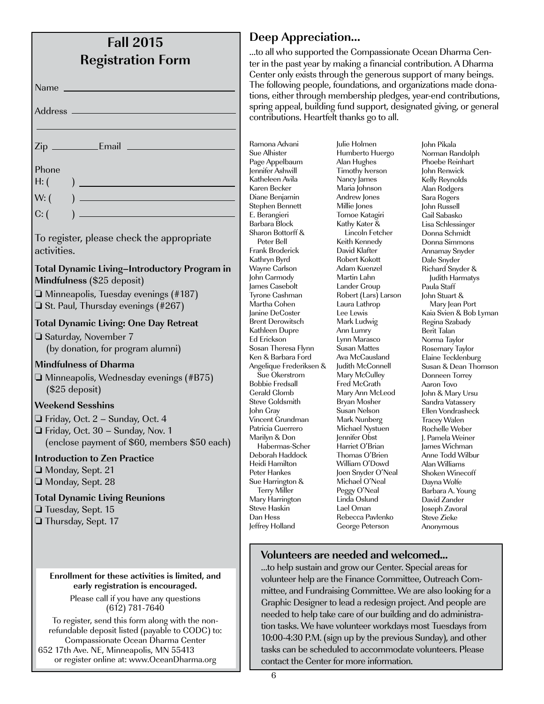| <b>Fall 2015</b>         |  |
|--------------------------|--|
| <b>Registration Form</b> |  |

Name

Address<sub>-</sub>

Zip Email

 $H: ($ 

 $W: ($ 

 $C: ($ 

To register, please check the appropriate activities.

#### **Total Dynamic Living–Introductory Program in Mindfulness** (\$25 deposit)

 $\Box$  Minneapolis, Tuesday evenings (#187)  $\Box$  St. Paul, Thursday evenings (#267)

#### **Total Dynamic Living: One Day Retreat**

**□ Saturday, November 7** (by donation, for program alumni)

#### **Mindfulness of Dharma**

 $\Box$  Minneapolis, Wednesday evenings (#B75) (\$25 deposit)

#### **Weekend Sesshins**

 $\Box$  Friday, Oct. 2 – Sunday, Oct. 4

 $\Box$  Friday, Oct. 30 – Sunday, Nov. 1 (enclose payment of \$60, members \$50 each)

#### **Introduction to Zen Practice**

- □ Monday, Sept. 21
- □ Monday, Sept. 28

#### **Total Dynamic Living Reunions**

Tuesday, Sept. 15

**□** Thursday, Sept. 17

#### **Enrollment for these activities is limited, and early registration is encouraged.**

Please call if you have any questions (612) 781-7640

To register, send this form along with the nonrefundable deposit listed (payable to CODC) to: Compassionate Ocean Dharma Center 652 17th Ave. NE, Minneapolis, MN 55413 or register online at: www.OceanDharma.org

## **Deep Appreciation…**

…to all who supported the Compassionate Ocean Dharma Center in the past year by making a financial contribution. A Dharma Center only exists through the generous support of many beings. The following people, foundations, and organizations made donations, either through membership pledges, year-end contributions, spring appeal, building fund support, designated giving, or general contributions. Heartfelt thanks go to all.

Ramona Advani Sue Alhister Page Appelbaum Jennifer Ashwill Katheleen Avila Karen Becker Diane Benjamin Stephen Bennett E. Berangieri Barbara Block Sharon Bottorff & Peter Bell Frank Broderick Kathryn Byrd Wayne Carlson John Carmody James Casebolt Tyrone Cashman Martha Cohen Janine DeCoster Brent Derowitsch Kathleen Dupre Ed Erickson Sosan Theresa Flynn Ken & Barbara Ford Angelique Frederiksen & Sue Okerstrom Bobbie Fredsall Gerald Glomb Steve Goldsmith John Gray Vincent Grundman Patricia Guerrero Marilyn & Don Habermas-Scher Deborah Haddock Heidi Hamilton Peter Hankes Sue Harrington & Terry Miller Mary Harrington Steve Haskin Dan Hess Jeffrey Holland

Julie Holmen Humberto Huergo Alan Hughes Timothy Iverson Nancy James Maria Johnson Andrew Jones Millie Jones Tomoe Katagiri Kathy Kater & Lincoln Fetcher Keith Kennedy David Klafter Robert Kokott Adam Kuenzel Martin Lahn Lander Group Robert (Lars) Larson Laura Lathrop Lee Lewis Mark Ludwig Ann Lumry Lynn Marasco Susan Mattes Ava McCausland Judith McConnell Mary McCulley Fred McGrath Mary Ann McLeod Bryan Mosher Susan Nelson Mark Nunberg Michael Nystuen Jennifer Obst Harriet O'Brian Thomas O'Brien William O'Dowd Joen Snyder O'Neal Michael O'Neal Peggy O'Neal Linda Oslund Lael Oman Rebecca Pavlenko George Peterson

John Pikala Norman Randolph Phoebe Reinhart John Renwick Kelly Reynolds Alan Rodgers Sara Rogers John Russell Gail Sabasko Lisa Schlessinger Donna Schmidt Donna Simmons Annamay Snyder Dale Snyder Richard Snyder & Judith Harmatys Paula Staff John Stuart & Mary Jean Port Kaia Svien & Bob Lyman Regina Szabady Berit Talan Norma Taylor Rosemary Taylor Elaine Tecklenburg Susan & Dean Thomson Donneen Torrey Aaron Tovo John & Mary Ursu Sandra Vatassery Ellen Vondrasheck Tracey Walen Rochelle Weber J. Pamela Weiner James Wichman Anne Todd Wilbur Alan Williams Shoken Winecoff Dayna Wolfe Barbara A. Young David Zander Joseph Zavoral Steve Zieke Anonymous

### **Volunteers are needed and welcomed...**

…to help sustain and grow our Center. Special areas for volunteer help are the Finance Committee, Outreach Committee, and Fundraising Committee. We are also looking for a Graphic Designer to lead a redesign project. And people are needed to help take care of our building and do administration tasks. We have volunteer workdays most Tuesdays from 10:00-4:30 P.M. (sign up by the previous Sunday), and other tasks can be scheduled to accommodate volunteers. Please contact the Center for more information.

6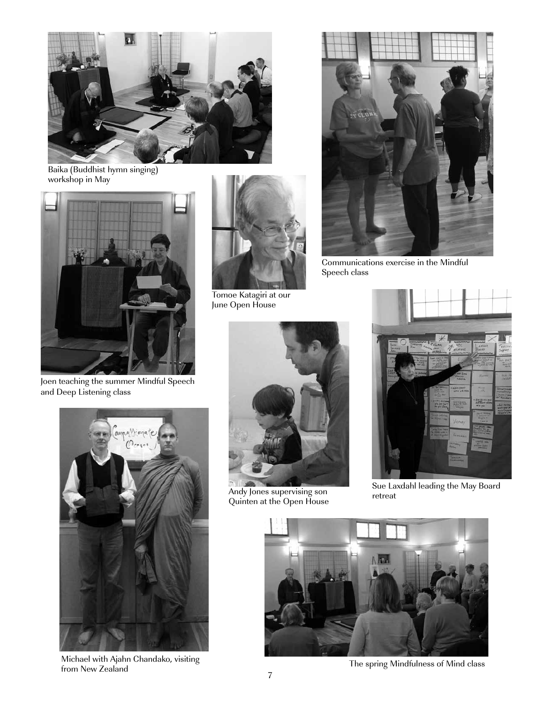

Baika (Buddhist hymn singing) workshop in May



Joen teaching the summer Mindful Speech and Deep Listening class



Tomoe Katagiri at our June Open House



Communications exercise in the Mindful Speech class



Michael with Ajahn Chandako, visiting from New Zealand The spring Mindfulness of Mind class



Andy Jones supervising son Quinten at the Open House



Sue Laxdahl leading the May Board retreat